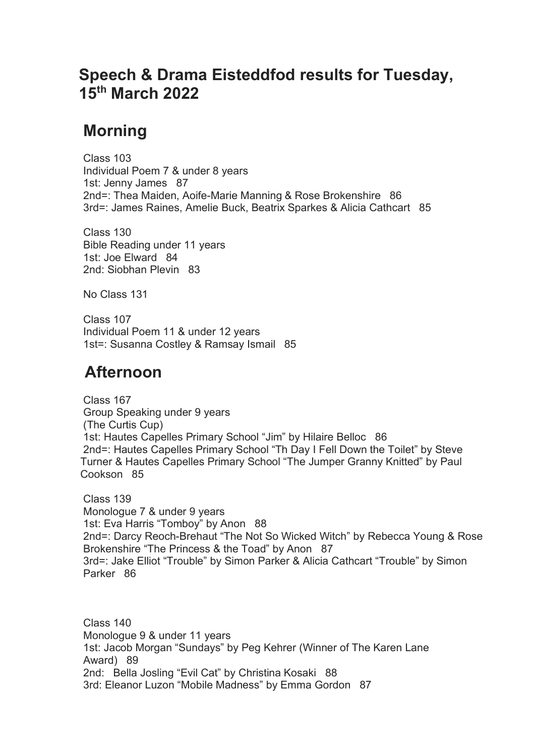## **Speech & Drama Eisteddfod results for Tuesday, 15th March 2022**

## **Morning**

 Class 103 Individual Poem 7 & under 8 years 1st: Jenny James 87 2nd=: Thea Maiden, Aoife-Marie Manning & Rose Brokenshire 86 3rd=: James Raines, Amelie Buck, Beatrix Sparkes & Alicia Cathcart 85

 Class 130 Bible Reading under 11 years 1st: Joe Elward 84 2nd: Siobhan Plevin 83

No Class 131

 Class 107 Individual Poem 11 & under 12 years 1st=: Susanna Costley & Ramsay Ismail 85

## **Afternoon**

 Class 167 Group Speaking under 9 years (The Curtis Cup) 1st: Hautes Capelles Primary School "Jim" by Hilaire Belloc 86 2nd=: Hautes Capelles Primary School "Th Day I Fell Down the Toilet" by Steve Turner & Hautes Capelles Primary School "The Jumper Granny Knitted" by Paul Cookson 85

 Class 139 Monologue 7 & under 9 years 1st: Eva Harris "Tomboy" by Anon 88 2nd=: Darcy Reoch-Brehaut "The Not So Wicked Witch" by Rebecca Young & Rose Brokenshire "The Princess & the Toad" by Anon 87 3rd=: Jake Elliot "Trouble" by Simon Parker & Alicia Cathcart "Trouble" by Simon Parker 86

 Class 140 Monologue 9 & under 11 years 1st: Jacob Morgan "Sundays" by Peg Kehrer (Winner of The Karen Lane Award) 89 2nd: Bella Josling "Evil Cat" by Christina Kosaki 88 3rd: Eleanor Luzon "Mobile Madness" by Emma Gordon 87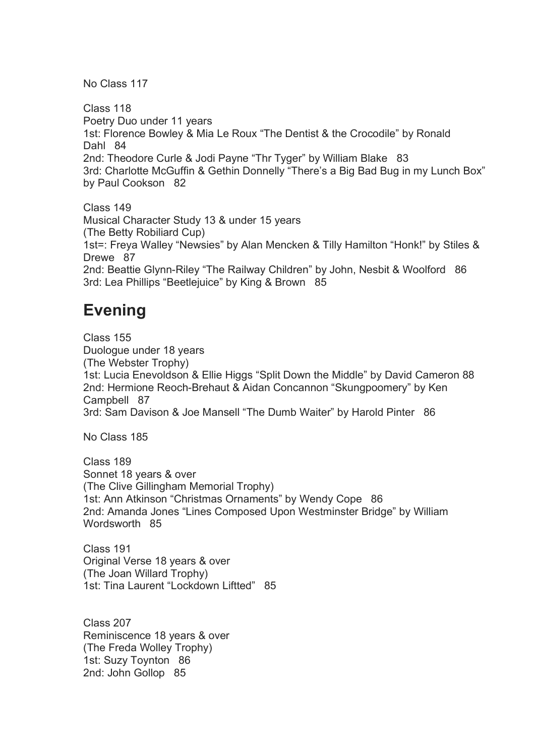No Class 117

 Class 118 Poetry Duo under 11 years 1st: Florence Bowley & Mia Le Roux "The Dentist & the Crocodile" by Ronald Dahl 84 2nd: Theodore Curle & Jodi Payne "Thr Tyger" by William Blake 83 3rd: Charlotte McGuffin & Gethin Donnelly "There's a Big Bad Bug in my Lunch Box" by Paul Cookson 82

 Class 149 Musical Character Study 13 & under 15 years (The Betty Robiliard Cup) 1st=: Freya Walley "Newsies" by Alan Mencken & Tilly Hamilton "Honk!" by Stiles & Drewe 87 2nd: Beattie Glynn-Riley "The Railway Children" by John, Nesbit & Woolford 86 3rd: Lea Phillips "Beetlejuice" by King & Brown 85

## **Evening**

 Class 155 Duologue under 18 years (The Webster Trophy) 1st: Lucia Enevoldson & Ellie Higgs "Split Down the Middle" by David Cameron 88 2nd: Hermione Reoch-Brehaut & Aidan Concannon "Skungpoomery" by Ken Campbell 87 3rd: Sam Davison & Joe Mansell "The Dumb Waiter" by Harold Pinter 86

No Class 185

 Class 189 Sonnet 18 years & over (The Clive Gillingham Memorial Trophy) 1st: Ann Atkinson "Christmas Ornaments" by Wendy Cope 86 2nd: Amanda Jones "Lines Composed Upon Westminster Bridge" by William Wordsworth 85

 Class 191 Original Verse 18 years & over (The Joan Willard Trophy) 1st: Tina Laurent "Lockdown Liftted" 85

 Class 207 Reminiscence 18 years & over (The Freda Wolley Trophy) 1st: Suzy Toynton 86 2nd: John Gollop 85